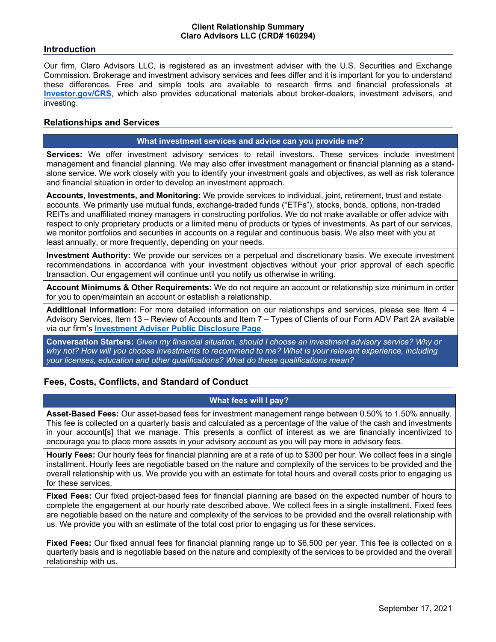### **Introduction**

Our firm, Claro Advisors LLC, is registered as an investment adviser with the U.S. Securities and Exchange Commission. Brokerage and investment advisory services and fees differ and it is important for you to understand these differences. Free and simple tools are available to research firms and financial professionals at **Investor.gov/CRS**, which also provides educational materials about broker-dealers, investment advisers, and investing.

## **Relationships and Services**

#### **What investment services and advice can you provide me?**

**Services:** We offer investment advisory services to retail investors. These services include investment management and financial planning. We may also offer investment management or financial planning as a standalone service. We work closely with you to identify your investment goals and objectives, as well as risk tolerance and financial situation in order to develop an investment approach.

**Accounts, Investments, and Monitoring:** We provide services to individual, joint, retirement, trust and estate accounts. We primarily use mutual funds, exchange-traded funds ("ETFs"), stocks, bonds, options, non-traded REITs and unaffiliated money managers in constructing portfolios. We do not make available or offer advice with respect to only proprietary products or a limited menu of products or types of investments. As part of our services, we monitor portfolios and securities in accounts on a regular and continuous basis. We also meet with you at least annually, or more frequently, depending on your needs.

**Investment Authority:** We provide our services on a perpetual and discretionary basis. We execute investment recommendations in accordance with your investment objectives without your prior approval of each specific transaction. Our engagement will continue until you notify us otherwise in writing.

**Account Minimums & Other Requirements:** We do not require an account or relationship size minimum in order for you to open/maintain an account or establish a relationship.

**Additional Information:** For more detailed information on our relationships and services, please see Item 4 – Advisory Services, Item 13 – Review of Accounts and Item 7 – Types of Clients of our Form ADV Part 2A available via our firm's **Investment Adviser Public Disclosure Page**.

**Conversation Starters:** *Given my financial situation, should I choose an investment advisory service? Why or why not? How will you choose investments to recommend to me? What is your relevant experience, including your licenses, education and other qualifications? What do these qualifications mean?*

## **Fees, Costs, Conflicts, and Standard of Conduct**

## **What fees will I pay?**

**Asset-Based Fees:** Our asset-based fees for investment management range between 0.50% to 1.50% annually. This fee is collected on a quarterly basis and calculated as a percentage of the value of the cash and investments in your account[s] that we manage. This presents a conflict of interest as we are financially incentivized to encourage you to place more assets in your advisory account as you will pay more in advisory fees.

**Hourly Fees:** Our hourly fees for financial planning are at a rate of up to \$300 per hour. We collect fees in a single installment. Hourly fees are negotiable based on the nature and complexity of the services to be provided and the overall relationship with us. We provide you with an estimate for total hours and overall costs prior to engaging us for these services.

**Fixed Fees:** Our fixed project-based fees for financial planning are based on the expected number of hours to complete the engagement at our hourly rate described above. We collect fees in a single installment. Fixed fees are negotiable based on the nature and complexity of the services to be provided and the overall relationship with us. We provide you with an estimate of the total cost prior to engaging us for these services.

**Fixed Fees:** Our fixed annual fees for financial planning range up to \$6,500 per year. This fee is collected on a quarterly basis and is negotiable based on the nature and complexity of the services to be provided and the overall relationship with us.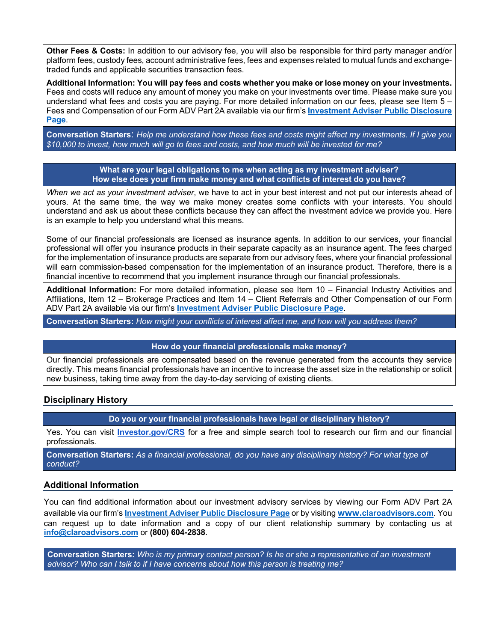**Other Fees & Costs:** In addition to our advisory fee, you will also be responsible for third party manager and/or platform fees, custody fees, account administrative fees, fees and expenses related to mutual funds and exchangetraded funds and applicable securities transaction fees.

**Additional Information: You will pay fees and costs whether you make or lose money on your investments.**  Fees and costs will reduce any amount of money you make on your investments over time. Please make sure you understand what fees and costs you are paying. For more detailed information on our fees, please see Item 5 – Fees and Compensation of our Form ADV Part 2A available via our firm's **Investment Adviser Public Disclosure Page**.

**Conversation Starters**: *Help me understand how these fees and costs might affect my investments. If I give you \$10,000 to invest, how much will go to fees and costs, and how much will be invested for me?*

#### **What are your legal obligations to me when acting as my investment adviser? How else does your firm make money and what conflicts of interest do you have?**

*When we act as your investment adviser*, we have to act in your best interest and not put our interests ahead of yours. At the same time, the way we make money creates some conflicts with your interests. You should understand and ask us about these conflicts because they can affect the investment advice we provide you. Here is an example to help you understand what this means.

Some of our financial professionals are licensed as insurance agents. In addition to our services, your financial professional will offer you insurance products in their separate capacity as an insurance agent. The fees charged for the implementation of insurance products are separate from our advisory fees, where your financial professional will earn commission-based compensation for the implementation of an insurance product. Therefore, there is a financial incentive to recommend that you implement insurance through our financial professionals.

**Additional Information:** For more detailed information, please see Item 10 – Financial Industry Activities and Affiliations, Item 12 – Brokerage Practices and Item 14 – Client Referrals and Other Compensation of our Form ADV Part 2A available via our firm's **Investment Adviser Public Disclosure Page**.

**Conversation Starters:** *How might your conflicts of interest affect me, and how will you address them?*

#### **How do your financial professionals make money?**

Our financial professionals are compensated based on the revenue generated from the accounts they service directly. This means financial professionals have an incentive to increase the asset size in the relationship or solicit new business, taking time away from the day-to-day servicing of existing clients.

## **Disciplinary History**

**Do you or your financial professionals have legal or disciplinary history?**

Yes. You can visit **Investor.gov/CRS** for a free and simple search tool to research our firm and our financial professionals.

**Conversation Starters:** *As a financial professional, do you have any disciplinary history? For what type of conduct?*

## **Additional Information**

You can find additional information about our investment advisory services by viewing our Form ADV Part 2A available via our firm's **Investment Adviser Public Disclosure Page** or by visiting **www.claroadvisors.com**. You can request up to date information and a copy of our client relationship summary by contacting us at **info@claroadvisors.com** or **(800) 604-2838**.

**Conversation Starters:** *Who is my primary contact person? Is he or she a representative of an investment advisor? Who can I talk to if I have concerns about how this person is treating me?*